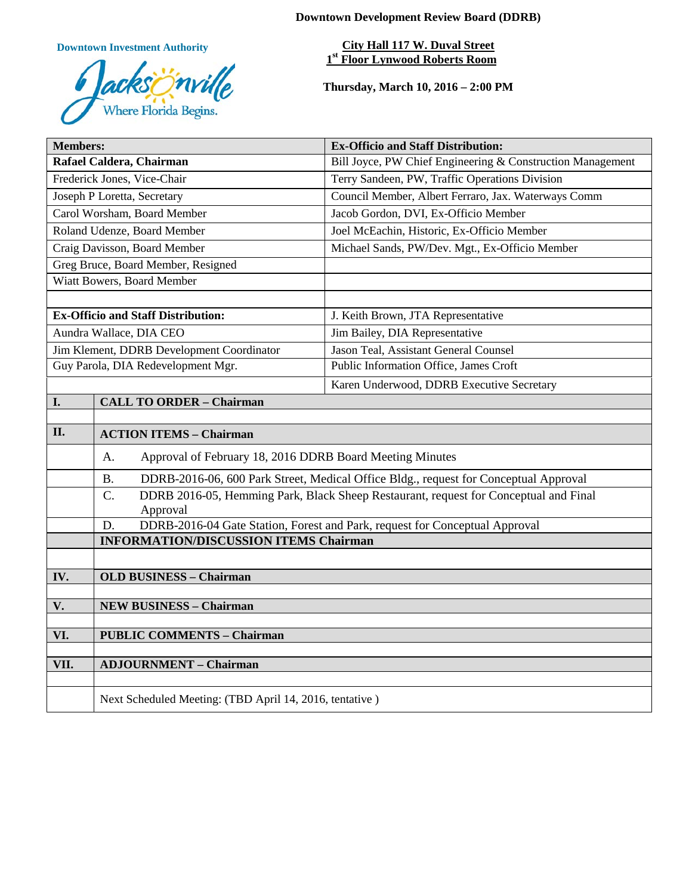**Downtown Development Review Board (DDRB)**

**Downtown Investment Authority**



**City Hall 117 W. Duval Street 1st Floor Lynwood Roberts Room** 

**Thursday, March 10, 2016 – 2:00 PM**

| <b>Members:</b>                           |                                                                                                   | <b>Ex-Officio and Staff Distribution:</b>                                            |
|-------------------------------------------|---------------------------------------------------------------------------------------------------|--------------------------------------------------------------------------------------|
| Rafael Caldera, Chairman                  |                                                                                                   | Bill Joyce, PW Chief Engineering & Construction Management                           |
| Frederick Jones, Vice-Chair               |                                                                                                   | Terry Sandeen, PW, Traffic Operations Division                                       |
| Joseph P Loretta, Secretary               |                                                                                                   | Council Member, Albert Ferraro, Jax. Waterways Comm                                  |
| Carol Worsham, Board Member               |                                                                                                   | Jacob Gordon, DVI, Ex-Officio Member                                                 |
| Roland Udenze, Board Member               |                                                                                                   | Joel McEachin, Historic, Ex-Officio Member                                           |
| Craig Davisson, Board Member              |                                                                                                   | Michael Sands, PW/Dev. Mgt., Ex-Officio Member                                       |
| Greg Bruce, Board Member, Resigned        |                                                                                                   |                                                                                      |
| Wiatt Bowers, Board Member                |                                                                                                   |                                                                                      |
|                                           |                                                                                                   |                                                                                      |
| <b>Ex-Officio and Staff Distribution:</b> |                                                                                                   | J. Keith Brown, JTA Representative                                                   |
| Aundra Wallace, DIA CEO                   |                                                                                                   | Jim Bailey, DIA Representative                                                       |
| Jim Klement, DDRB Development Coordinator |                                                                                                   | Jason Teal, Assistant General Counsel                                                |
| Guy Parola, DIA Redevelopment Mgr.        |                                                                                                   | Public Information Office, James Croft                                               |
|                                           |                                                                                                   | Karen Underwood, DDRB Executive Secretary                                            |
| I.                                        | <b>CALL TO ORDER - Chairman</b>                                                                   |                                                                                      |
|                                           |                                                                                                   |                                                                                      |
| II.                                       | <b>ACTION ITEMS - Chairman</b>                                                                    |                                                                                      |
|                                           | Approval of February 18, 2016 DDRB Board Meeting Minutes<br>A.                                    |                                                                                      |
|                                           | DDRB-2016-06, 600 Park Street, Medical Office Bldg., request for Conceptual Approval<br><b>B.</b> |                                                                                      |
|                                           | $\overline{C}$ .<br>Approval                                                                      | DDRB 2016-05, Hemming Park, Black Sheep Restaurant, request for Conceptual and Final |
|                                           | D.                                                                                                | DDRB-2016-04 Gate Station, Forest and Park, request for Conceptual Approval          |
|                                           | <b>INFORMATION/DISCUSSION ITEMS Chairman</b>                                                      |                                                                                      |
|                                           |                                                                                                   |                                                                                      |
| IV.                                       | <b>OLD BUSINESS - Chairman</b>                                                                    |                                                                                      |
|                                           |                                                                                                   |                                                                                      |
| V.                                        | <b>NEW BUSINESS - Chairman</b>                                                                    |                                                                                      |
|                                           |                                                                                                   |                                                                                      |
| VI.                                       | <b>PUBLIC COMMENTS - Chairman</b>                                                                 |                                                                                      |
| VII.                                      | <b>ADJOURNMENT - Chairman</b>                                                                     |                                                                                      |
|                                           |                                                                                                   |                                                                                      |
|                                           | Next Scheduled Meeting: (TBD April 14, 2016, tentative)                                           |                                                                                      |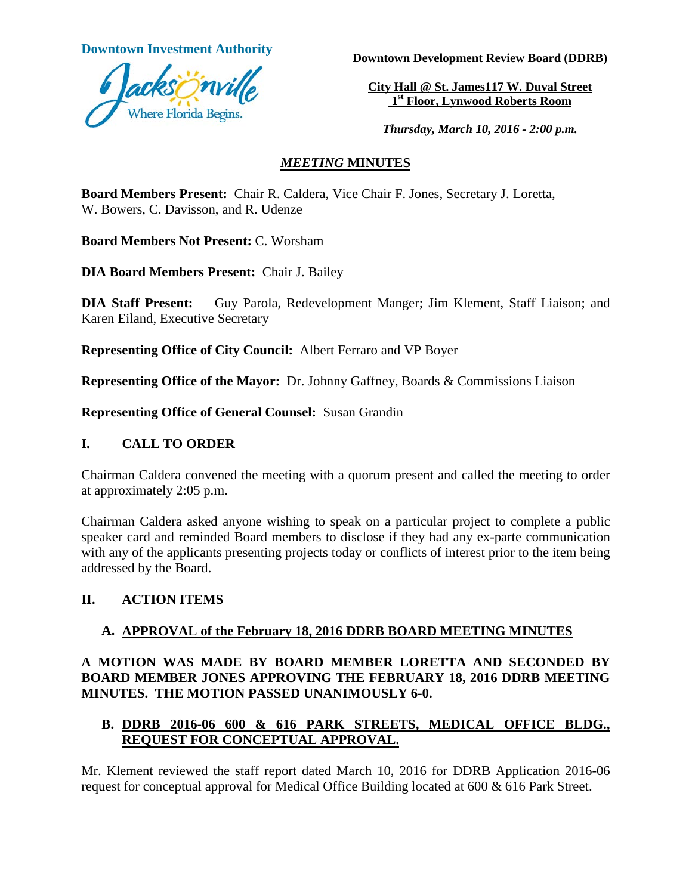

**Downtown Investment Authority**<br>**Downtown Development Review Board (DDRB)** 

**City Hall @ St. James117 W. Duval Street 1st Floor, Lynwood Roberts Room**

*Thursday, March 10, 2016 - 2:00 p.m.*

# *MEETING* **MINUTES**

**Board Members Present:** Chair R. Caldera, Vice Chair F. Jones, Secretary J. Loretta, W. Bowers, C. Davisson, and R. Udenze

**Board Members Not Present:** C. Worsham

**DIA Board Members Present:** Chair J. Bailey

**DIA Staff Present:** Guy Parola, Redevelopment Manger; Jim Klement, Staff Liaison; and Karen Eiland, Executive Secretary

**Representing Office of City Council:** Albert Ferraro and VP Boyer

**Representing Office of the Mayor:** Dr. Johnny Gaffney, Boards & Commissions Liaison

**Representing Office of General Counsel:** Susan Grandin

## **I. CALL TO ORDER**

Chairman Caldera convened the meeting with a quorum present and called the meeting to order at approximately 2:05 p.m.

Chairman Caldera asked anyone wishing to speak on a particular project to complete a public speaker card and reminded Board members to disclose if they had any ex-parte communication with any of the applicants presenting projects today or conflicts of interest prior to the item being addressed by the Board.

# **II. ACTION ITEMS**

# **A. APPROVAL of the February 18, 2016 DDRB BOARD MEETING MINUTES**

# **A MOTION WAS MADE BY BOARD MEMBER LORETTA AND SECONDED BY BOARD MEMBER JONES APPROVING THE FEBRUARY 18, 2016 DDRB MEETING MINUTES. THE MOTION PASSED UNANIMOUSLY 6-0.**

# **B. DDRB 2016-06 600 & 616 PARK STREETS, MEDICAL OFFICE BLDG., REQUEST FOR CONCEPTUAL APPROVAL.**

Mr. Klement reviewed the staff report dated March 10, 2016 for DDRB Application 2016-06 request for conceptual approval for Medical Office Building located at 600 & 616 Park Street.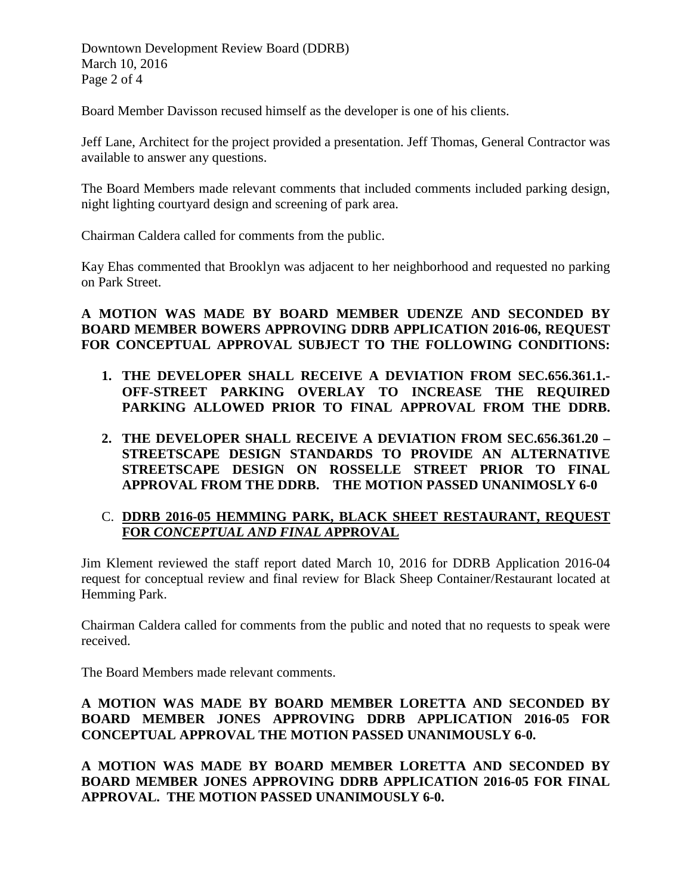Downtown Development Review Board (DDRB) March 10, 2016 Page 2 of 4

Board Member Davisson recused himself as the developer is one of his clients.

Jeff Lane, Architect for the project provided a presentation. Jeff Thomas, General Contractor was available to answer any questions.

The Board Members made relevant comments that included comments included parking design, night lighting courtyard design and screening of park area.

Chairman Caldera called for comments from the public.

Kay Ehas commented that Brooklyn was adjacent to her neighborhood and requested no parking on Park Street.

## **A MOTION WAS MADE BY BOARD MEMBER UDENZE AND SECONDED BY BOARD MEMBER BOWERS APPROVING DDRB APPLICATION 2016-06, REQUEST FOR CONCEPTUAL APPROVAL SUBJECT TO THE FOLLOWING CONDITIONS:**

- **1. THE DEVELOPER SHALL RECEIVE A DEVIATION FROM SEC.656.361.1.- OFF-STREET PARKING OVERLAY TO INCREASE THE REQUIRED PARKING ALLOWED PRIOR TO FINAL APPROVAL FROM THE DDRB.**
- **2. THE DEVELOPER SHALL RECEIVE A DEVIATION FROM SEC.656.361.20 – STREETSCAPE DESIGN STANDARDS TO PROVIDE AN ALTERNATIVE STREETSCAPE DESIGN ON ROSSELLE STREET PRIOR TO FINAL APPROVAL FROM THE DDRB. THE MOTION PASSED UNANIMOSLY 6-0**

## C. **DDRB 2016-05 HEMMING PARK, BLACK SHEET RESTAURANT, REQUEST FOR** *CONCEPTUAL AND FINAL A***PPROVAL**

Jim Klement reviewed the staff report dated March 10, 2016 for DDRB Application 2016-04 request for conceptual review and final review for Black Sheep Container/Restaurant located at Hemming Park.

Chairman Caldera called for comments from the public and noted that no requests to speak were received.

The Board Members made relevant comments.

## **A MOTION WAS MADE BY BOARD MEMBER LORETTA AND SECONDED BY BOARD MEMBER JONES APPROVING DDRB APPLICATION 2016-05 FOR CONCEPTUAL APPROVAL THE MOTION PASSED UNANIMOUSLY 6-0.**

**A MOTION WAS MADE BY BOARD MEMBER LORETTA AND SECONDED BY BOARD MEMBER JONES APPROVING DDRB APPLICATION 2016-05 FOR FINAL APPROVAL. THE MOTION PASSED UNANIMOUSLY 6-0.**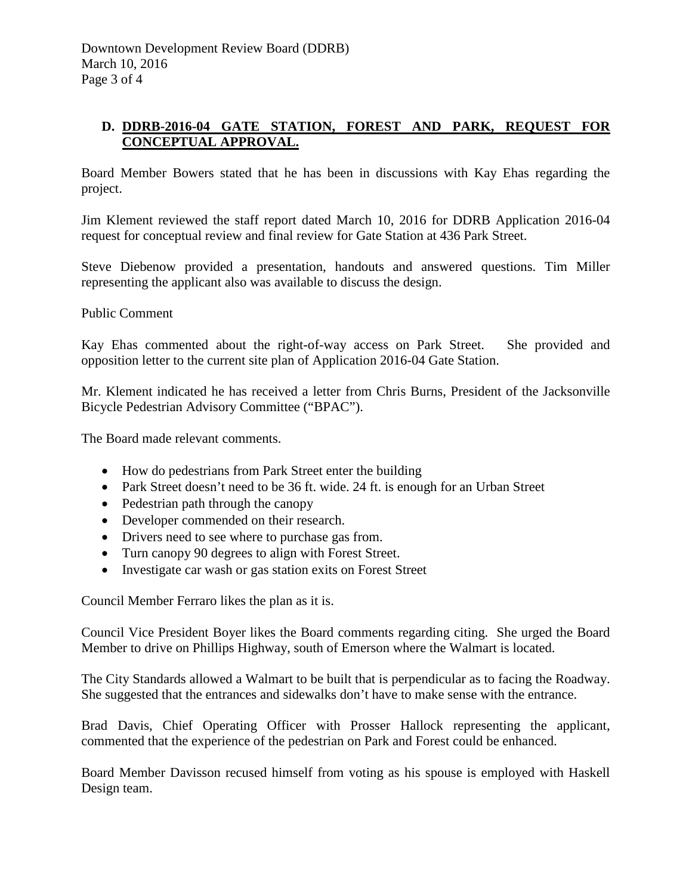# **D. DDRB-2016-04 GATE STATION, FOREST AND PARK, REQUEST FOR CONCEPTUAL APPROVAL.**

Board Member Bowers stated that he has been in discussions with Kay Ehas regarding the project.

Jim Klement reviewed the staff report dated March 10, 2016 for DDRB Application 2016-04 request for conceptual review and final review for Gate Station at 436 Park Street.

Steve Diebenow provided a presentation, handouts and answered questions. Tim Miller representing the applicant also was available to discuss the design.

Public Comment

Kay Ehas commented about the right-of-way access on Park Street. She provided and opposition letter to the current site plan of Application 2016-04 Gate Station.

Mr. Klement indicated he has received a letter from Chris Burns, President of the Jacksonville Bicycle Pedestrian Advisory Committee ("BPAC").

The Board made relevant comments.

- How do pedestrians from Park Street enter the building
- Park Street doesn't need to be 36 ft. wide. 24 ft. is enough for an Urban Street
- Pedestrian path through the canopy
- Developer commended on their research.
- Drivers need to see where to purchase gas from.
- Turn canopy 90 degrees to align with Forest Street.
- Investigate car wash or gas station exits on Forest Street

Council Member Ferraro likes the plan as it is.

Council Vice President Boyer likes the Board comments regarding citing. She urged the Board Member to drive on Phillips Highway, south of Emerson where the Walmart is located.

The City Standards allowed a Walmart to be built that is perpendicular as to facing the Roadway. She suggested that the entrances and sidewalks don't have to make sense with the entrance.

Brad Davis, Chief Operating Officer with Prosser Hallock representing the applicant, commented that the experience of the pedestrian on Park and Forest could be enhanced.

Board Member Davisson recused himself from voting as his spouse is employed with Haskell Design team.